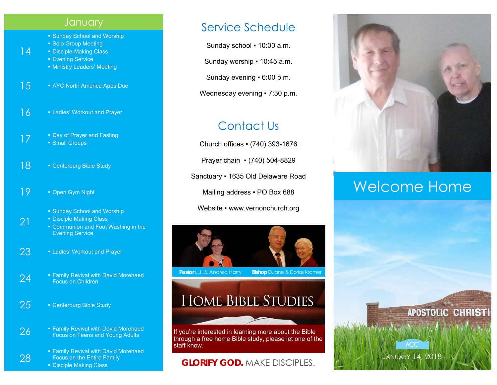#### **January**

- Sunday School and Worship
- Solo Group Meeting
- Disciple-Making Class
- **Evening Service**

14

21

28

- Ministry Leaders' Meeting
- 15 AYC North America Apps Due
- 16 Ladies' Workout and Prayer
- 17 **Example 2 Prayer and Fasting 17** • Small Groups
- 18 Centerburg Bible Study
- 19 Open Gym Night
	- Sunday School and Worship
	- **Disciple Making Class** 
		- Communion and Foot Washing in the Evening Service
- 23 Ladies' Workout and Prayer
- 24  **Family Revival with David Morehaed Focus on Children**
- 25 Centerburg Bible Study
- **26** Family Revival with David Morehaed Focus on Teens and Young Adults
	- Family Revival with David Morehaed Focus on the Entire Family
	- Disciple Making Class

### Service Schedule

Sunday school ▪ 10:00 a.m.

Sunday worship ▪ 10:45 a.m.

Sunday evening ▪ 6:00 p.m.

Wednesday evening • 7:30 p.m.

## Contact Us

Church offices ▪ (740) 393-1676 Prayer chain ▪ (740) 504-8829 Sanctuary ▪ 1635 Old Delaware Road Mailing address . PO Box 688 Website • www.vernonchurch.org



**Pastor L.J. & Andrea Harry Bishop Duane & Dorise Kramer** 

# **HOME BIBLE STUDIES**

If you're interested in learning more about the Bible through a free home Bible study, please let one of the staff know.

#### **GLORIFY GOD.** MAKE DISCIPLES.



# Welcome Home

JANUARY 14, 2018

**ACC**